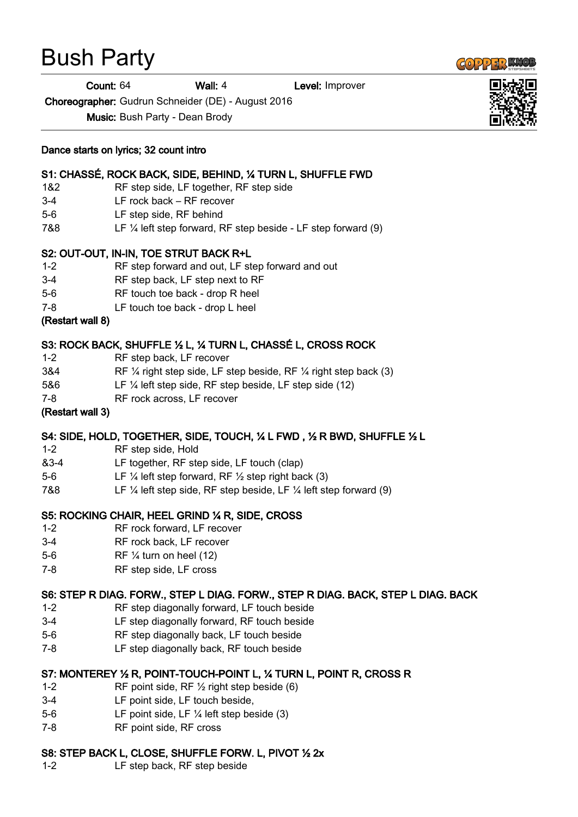# Bush Party

Count: 64 Wall: 4 Level: Improver

Choreographer: Gudrun Schneider (DE) - August 2016

Music: Bush Party - Dean Brody

#### Dance starts on lyrics; 32 count intro

## S1: CHASSÉ, ROCK BACK, SIDE, BEHIND, ¼ TURN L, SHUFFLE FWD

- 1&2 RF step side, LF together, RF step side
- 3-4 LF rock back RF recover
- 5-6 LF step side, RF behind
- 7&8 LF ¼ left step forward, RF step beside LF step forward (9)

## S2: OUT-OUT, IN-IN, TOE STRUT BACK R+L

- 1-2 RF step forward and out, LF step forward and out
- 3-4 RF step back, LF step next to RF
- 5-6 RF touch toe back drop R heel
- 7-8 LF touch toe back drop L heel

#### (Restart wall 8)

## S3: ROCK BACK, SHUFFLE ½ L, ¼ TURN L, CHASSÉ L, CROSS ROCK

- 1-2 RF step back, LF recover
- 3&4 RF ¼ right step side, LF step beside, RF ¼ right step back (3)
- 5&6 LF ¼ left step side, RF step beside, LF step side (12)
- 7-8 RF rock across, LF recover

#### (Restart wall 3)

## S4: SIDE, HOLD, TOGETHER, SIDE, TOUCH, ¼ L FWD , ½ R BWD, SHUFFLE ½ L

- 1-2 RF step side, Hold
- &3-4 LF together, RF step side, LF touch (clap)
- 5-6 LF ¼ left step forward, RF ½ step right back (3)
- 7&8 LF ¼ left step side, RF step beside, LF ¼ left step forward (9)

## S5: ROCKING CHAIR, HEEL GRIND ¼ R, SIDE, CROSS

- 1-2 RF rock forward, LF recover
- 3-4 RF rock back, LF recover
- 5-6 RF ¼ turn on heel (12)
- 7-8 RF step side, LF cross

## S6: STEP R DIAG. FORW., STEP L DIAG. FORW., STEP R DIAG. BACK, STEP L DIAG. BACK

- 1-2 RF step diagonally forward, LF touch beside
- 3-4 LF step diagonally forward, RF touch beside
- 5-6 RF step diagonally back, LF touch beside
- 7-8 LF step diagonally back, RF touch beside

## S7: MONTEREY ½ R, POINT-TOUCH-POINT L, ¼ TURN L, POINT R, CROSS R

- 1-2 RF point side, RF ½ right step beside (6)
- 3-4 LF point side, LF touch beside,
- 5-6 LF point side, LF ¼ left step beside (3)
- 7-8 RF point side, RF cross

## S8: STEP BACK L, CLOSE, SHUFFLE FORW. L, PIVOT ½ 2x

1-2 LF step back, RF step beside